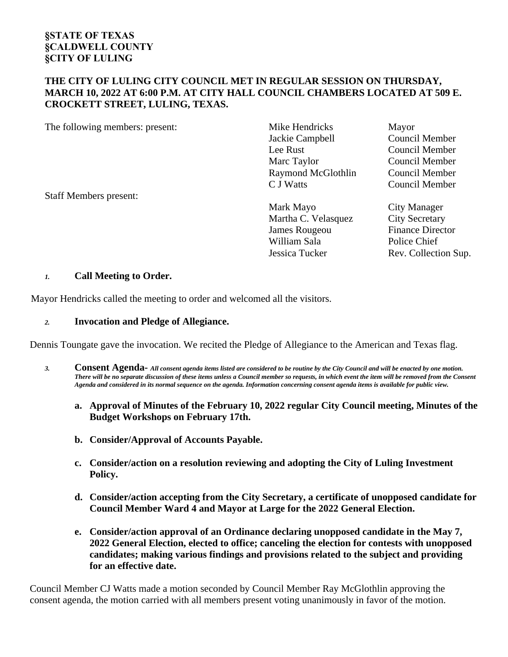#### **THE CITY OF LULING CITY COUNCIL MET IN REGULAR SESSION ON THURSDAY, MARCH 10, 2022 AT 6:00 P.M. AT CITY HALL COUNCIL CHAMBERS LOCATED AT 509 E. CROCKETT STREET, LULING, TEXAS.**

The following members: present: Mike Hendricks Mayor

Staff Members present:

Jackie Campbell Council Member Lee Rust Council Member Marc Taylor Council Member Raymond McGlothlin Council Member C J Watts Council Member

Mark Mayo City Manager Martha C. Velasquez City Secretary James Rougeou Finance Director William Sala Police Chief Jessica Tucker Rev. Collection Sup.

#### *1.* **Call Meeting to Order.**

Mayor Hendricks called the meeting to order and welcomed all the visitors.

#### *2.* **Invocation and Pledge of Allegiance.**

Dennis Toungate gave the invocation. We recited the Pledge of Allegiance to the American and Texas flag.

- *3.* **Consent Agenda-** *All consent agenda items listed are considered to be routine by the City Council and will be enacted by one motion. There will be no separate discussion of these items unless a Council member so requests, in which event the item will be removed from the Consent Agenda and considered in its normal sequence on the agenda. Information concerning consent agenda items is available for public view.*
	- **a. Approval of Minutes of the February 10, 2022 regular City Council meeting, Minutes of the Budget Workshops on February 17th.**
	- **b. Consider/Approval of Accounts Payable.**
	- **c. Consider/action on a resolution reviewing and adopting the City of Luling Investment Policy.**
	- **d. Consider/action accepting from the City Secretary, a certificate of unopposed candidate for Council Member Ward 4 and Mayor at Large for the 2022 General Election.**
	- **e. Consider/action approval of an Ordinance declaring unopposed candidate in the May 7, 2022 General Election, elected to office; canceling the election for contests with unopposed candidates; making various findings and provisions related to the subject and providing for an effective date.**

Council Member CJ Watts made a motion seconded by Council Member Ray McGlothlin approving the consent agenda, the motion carried with all members present voting unanimously in favor of the motion.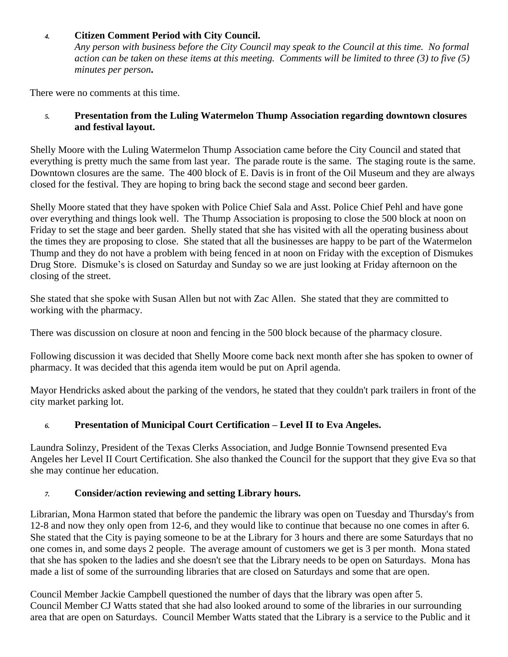### *4.* **Citizen Comment Period with City Council.**

*Any person with business before the City Council may speak to the Council at this time. No formal action can be taken on these items at this meeting. Comments will be limited to three (3) to five (5) minutes per person***.**

There were no comments at this time.

#### *5.* **Presentation from the Luling Watermelon Thump Association regarding downtown closures and festival layout.**

Shelly Moore with the Luling Watermelon Thump Association came before the City Council and stated that everything is pretty much the same from last year. The parade route is the same. The staging route is the same. Downtown closures are the same. The 400 block of E. Davis is in front of the Oil Museum and they are always closed for the festival. They are hoping to bring back the second stage and second beer garden.

Shelly Moore stated that they have spoken with Police Chief Sala and Asst. Police Chief Pehl and have gone over everything and things look well. The Thump Association is proposing to close the 500 block at noon on Friday to set the stage and beer garden. Shelly stated that she has visited with all the operating business about the times they are proposing to close. She stated that all the businesses are happy to be part of the Watermelon Thump and they do not have a problem with being fenced in at noon on Friday with the exception of Dismukes Drug Store. Dismuke's is closed on Saturday and Sunday so we are just looking at Friday afternoon on the closing of the street.

She stated that she spoke with Susan Allen but not with Zac Allen. She stated that they are committed to working with the pharmacy.

There was discussion on closure at noon and fencing in the 500 block because of the pharmacy closure.

Following discussion it was decided that Shelly Moore come back next month after she has spoken to owner of pharmacy. It was decided that this agenda item would be put on April agenda.

Mayor Hendricks asked about the parking of the vendors, he stated that they couldn't park trailers in front of the city market parking lot.

# *6.* **Presentation of Municipal Court Certification – Level II to Eva Angeles.**

Laundra Solinzy, President of the Texas Clerks Association, and Judge Bonnie Townsend presented Eva Angeles her Level II Court Certification. She also thanked the Council for the support that they give Eva so that she may continue her education.

#### *7.* **Consider/action reviewing and setting Library hours.**

Librarian, Mona Harmon stated that before the pandemic the library was open on Tuesday and Thursday's from 12-8 and now they only open from 12-6, and they would like to continue that because no one comes in after 6. She stated that the City is paying someone to be at the Library for 3 hours and there are some Saturdays that no one comes in, and some days 2 people. The average amount of customers we get is 3 per month. Mona stated that she has spoken to the ladies and she doesn't see that the Library needs to be open on Saturdays. Mona has made a list of some of the surrounding libraries that are closed on Saturdays and some that are open.

Council Member Jackie Campbell questioned the number of days that the library was open after 5. Council Member CJ Watts stated that she had also looked around to some of the libraries in our surrounding area that are open on Saturdays. Council Member Watts stated that the Library is a service to the Public and it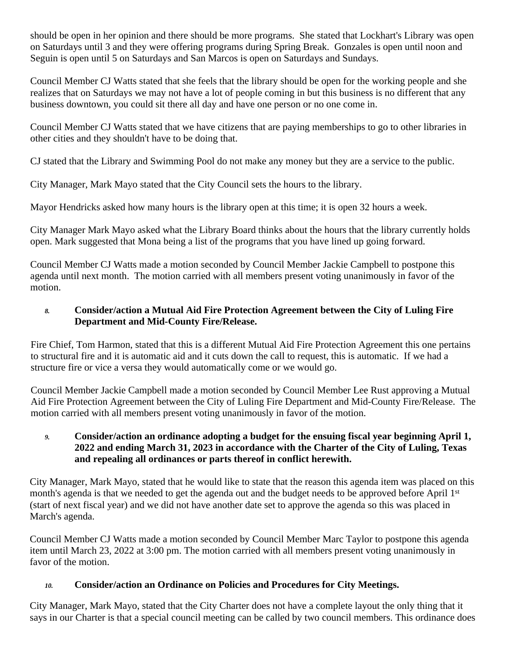should be open in her opinion and there should be more programs. She stated that Lockhart's Library was open on Saturdays until 3 and they were offering programs during Spring Break. Gonzales is open until noon and Seguin is open until 5 on Saturdays and San Marcos is open on Saturdays and Sundays.

Council Member CJ Watts stated that she feels that the library should be open for the working people and she realizes that on Saturdays we may not have a lot of people coming in but this business is no different that any business downtown, you could sit there all day and have one person or no one come in.

Council Member CJ Watts stated that we have citizens that are paying memberships to go to other libraries in other cities and they shouldn't have to be doing that.

CJ stated that the Library and Swimming Pool do not make any money but they are a service to the public.

City Manager, Mark Mayo stated that the City Council sets the hours to the library.

Mayor Hendricks asked how many hours is the library open at this time; it is open 32 hours a week.

City Manager Mark Mayo asked what the Library Board thinks about the hours that the library currently holds open. Mark suggested that Mona being a list of the programs that you have lined up going forward.

Council Member CJ Watts made a motion seconded by Council Member Jackie Campbell to postpone this agenda until next month. The motion carried with all members present voting unanimously in favor of the motion.

### *8.* **Consider/action a Mutual Aid Fire Protection Agreement between the City of Luling Fire Department and Mid-County Fire/Release.**

Fire Chief, Tom Harmon, stated that this is a different Mutual Aid Fire Protection Agreement this one pertains to structural fire and it is automatic aid and it cuts down the call to request, this is automatic. If we had a structure fire or vice a versa they would automatically come or we would go.

Council Member Jackie Campbell made a motion seconded by Council Member Lee Rust approving a Mutual Aid Fire Protection Agreement between the City of Luling Fire Department and Mid-County Fire/Release. The motion carried with all members present voting unanimously in favor of the motion.

### *9.* **Consider/action an ordinance adopting a budget for the ensuing fiscal year beginning April 1, 2022 and ending March 31, 2023 in accordance with the Charter of the City of Luling, Texas and repealing all ordinances or parts thereof in conflict herewith.**

City Manager, Mark Mayo, stated that he would like to state that the reason this agenda item was placed on this month's agenda is that we needed to get the agenda out and the budget needs to be approved before April 1<sup>st</sup> (start of next fiscal year) and we did not have another date set to approve the agenda so this was placed in March's agenda.

Council Member CJ Watts made a motion seconded by Council Member Marc Taylor to postpone this agenda item until March 23, 2022 at 3:00 pm. The motion carried with all members present voting unanimously in favor of the motion.

# *10.* **Consider/action an Ordinance on Policies and Procedures for City Meetings.**

City Manager, Mark Mayo, stated that the City Charter does not have a complete layout the only thing that it says in our Charter is that a special council meeting can be called by two council members. This ordinance does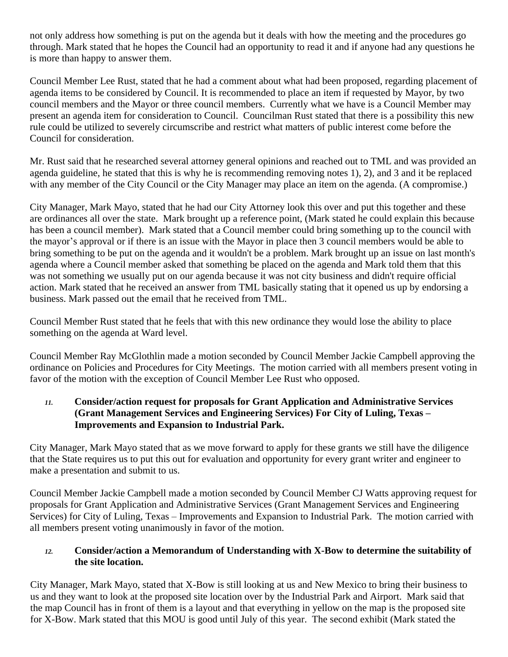not only address how something is put on the agenda but it deals with how the meeting and the procedures go through. Mark stated that he hopes the Council had an opportunity to read it and if anyone had any questions he is more than happy to answer them.

Council Member Lee Rust, stated that he had a comment about what had been proposed, regarding placement of agenda items to be considered by Council. It is recommended to place an item if requested by Mayor, by two council members and the Mayor or three council members. Currently what we have is a Council Member may present an agenda item for consideration to Council. Councilman Rust stated that there is a possibility this new rule could be utilized to severely circumscribe and restrict what matters of public interest come before the Council for consideration.

Mr. Rust said that he researched several attorney general opinions and reached out to TML and was provided an agenda guideline, he stated that this is why he is recommending removing notes 1), 2), and 3 and it be replaced with any member of the City Council or the City Manager may place an item on the agenda. (A compromise.)

City Manager, Mark Mayo, stated that he had our City Attorney look this over and put this together and these are ordinances all over the state. Mark brought up a reference point, (Mark stated he could explain this because has been a council member). Mark stated that a Council member could bring something up to the council with the mayor's approval or if there is an issue with the Mayor in place then 3 council members would be able to bring something to be put on the agenda and it wouldn't be a problem. Mark brought up an issue on last month's agenda where a Council member asked that something be placed on the agenda and Mark told them that this was not something we usually put on our agenda because it was not city business and didn't require official action. Mark stated that he received an answer from TML basically stating that it opened us up by endorsing a business. Mark passed out the email that he received from TML.

Council Member Rust stated that he feels that with this new ordinance they would lose the ability to place something on the agenda at Ward level.

Council Member Ray McGlothlin made a motion seconded by Council Member Jackie Campbell approving the ordinance on Policies and Procedures for City Meetings. The motion carried with all members present voting in favor of the motion with the exception of Council Member Lee Rust who opposed.

*11.* **Consider/action request for proposals for Grant Application and Administrative Services (Grant Management Services and Engineering Services) For City of Luling, Texas – Improvements and Expansion to Industrial Park.**

City Manager, Mark Mayo stated that as we move forward to apply for these grants we still have the diligence that the State requires us to put this out for evaluation and opportunity for every grant writer and engineer to make a presentation and submit to us.

Council Member Jackie Campbell made a motion seconded by Council Member CJ Watts approving request for proposals for Grant Application and Administrative Services (Grant Management Services and Engineering Services) for City of Luling, Texas – Improvements and Expansion to Industrial Park. The motion carried with all members present voting unanimously in favor of the motion.

#### *12.* **Consider/action a Memorandum of Understanding with X-Bow to determine the suitability of the site location.**

City Manager, Mark Mayo, stated that X-Bow is still looking at us and New Mexico to bring their business to us and they want to look at the proposed site location over by the Industrial Park and Airport. Mark said that the map Council has in front of them is a layout and that everything in yellow on the map is the proposed site for X-Bow. Mark stated that this MOU is good until July of this year. The second exhibit (Mark stated the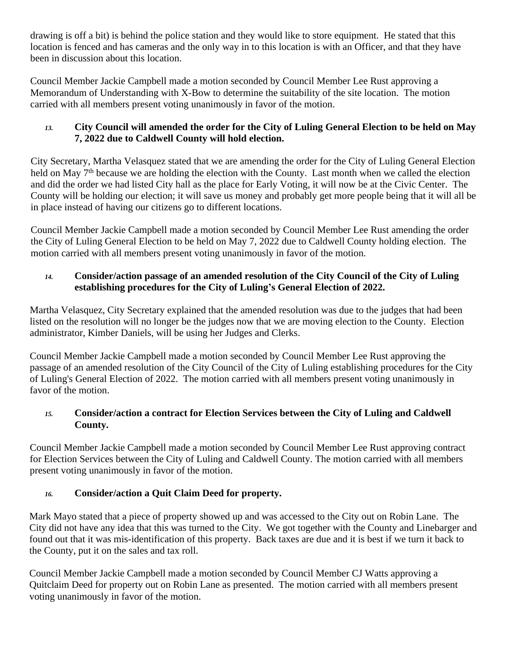drawing is off a bit) is behind the police station and they would like to store equipment. He stated that this location is fenced and has cameras and the only way in to this location is with an Officer, and that they have been in discussion about this location.

Council Member Jackie Campbell made a motion seconded by Council Member Lee Rust approving a Memorandum of Understanding with X-Bow to determine the suitability of the site location. The motion carried with all members present voting unanimously in favor of the motion.

### *13.* **City Council will amended the order for the City of Luling General Election to be held on May 7, 2022 due to Caldwell County will hold election.**

City Secretary, Martha Velasquez stated that we are amending the order for the City of Luling General Election held on May 7<sup>th</sup> because we are holding the election with the County. Last month when we called the election and did the order we had listed City hall as the place for Early Voting, it will now be at the Civic Center. The County will be holding our election; it will save us money and probably get more people being that it will all be in place instead of having our citizens go to different locations.

Council Member Jackie Campbell made a motion seconded by Council Member Lee Rust amending the order the City of Luling General Election to be held on May 7, 2022 due to Caldwell County holding election. The motion carried with all members present voting unanimously in favor of the motion.

### *14.* **Consider/action passage of an amended resolution of the City Council of the City of Luling establishing procedures for the City of Luling's General Election of 2022.**

Martha Velasquez, City Secretary explained that the amended resolution was due to the judges that had been listed on the resolution will no longer be the judges now that we are moving election to the County. Election administrator, Kimber Daniels, will be using her Judges and Clerks.

Council Member Jackie Campbell made a motion seconded by Council Member Lee Rust approving the passage of an amended resolution of the City Council of the City of Luling establishing procedures for the City of Luling's General Election of 2022. The motion carried with all members present voting unanimously in favor of the motion.

# *15.* **Consider/action a contract for Election Services between the City of Luling and Caldwell County.**

Council Member Jackie Campbell made a motion seconded by Council Member Lee Rust approving contract for Election Services between the City of Luling and Caldwell County. The motion carried with all members present voting unanimously in favor of the motion.

# *16.* **Consider/action a Quit Claim Deed for property.**

Mark Mayo stated that a piece of property showed up and was accessed to the City out on Robin Lane. The City did not have any idea that this was turned to the City. We got together with the County and Linebarger and found out that it was mis-identification of this property. Back taxes are due and it is best if we turn it back to the County, put it on the sales and tax roll.

Council Member Jackie Campbell made a motion seconded by Council Member CJ Watts approving a Quitclaim Deed for property out on Robin Lane as presented. The motion carried with all members present voting unanimously in favor of the motion.